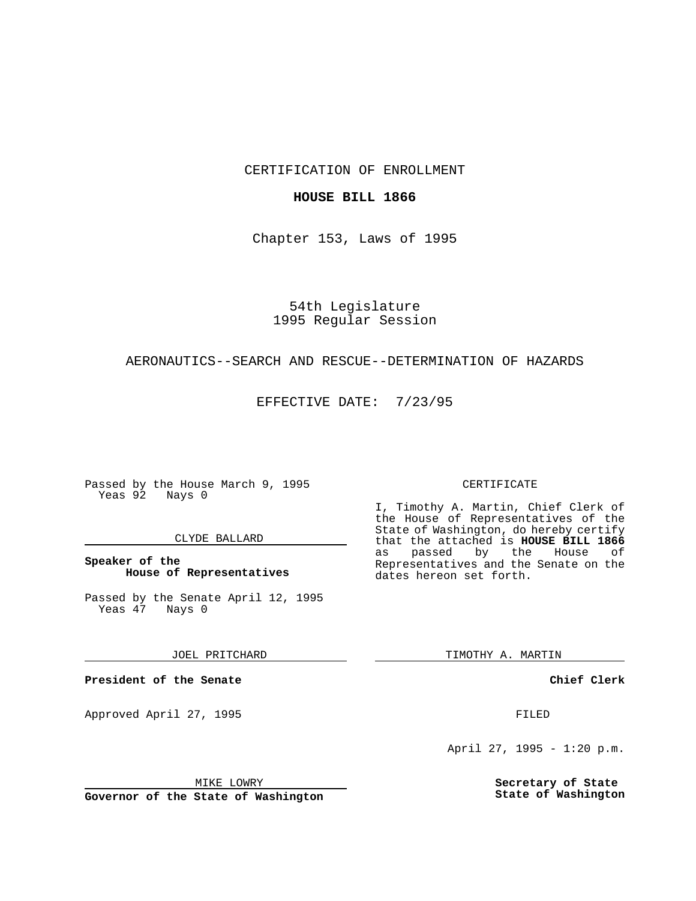CERTIFICATION OF ENROLLMENT

# **HOUSE BILL 1866**

Chapter 153, Laws of 1995

54th Legislature 1995 Regular Session

# AERONAUTICS--SEARCH AND RESCUE--DETERMINATION OF HAZARDS

EFFECTIVE DATE: 7/23/95

Passed by the House March 9, 1995 Yeas 92 Nays 0

## CLYDE BALLARD

# **Speaker of the House of Representatives**

Passed by the Senate April 12, 1995<br>Yeas 47 Nays 0 Yeas 47

#### JOEL PRITCHARD

**President of the Senate**

Approved April 27, 1995 FILED

## MIKE LOWRY

**Governor of the State of Washington**

#### CERTIFICATE

I, Timothy A. Martin, Chief Clerk of the House of Representatives of the State of Washington, do hereby certify that the attached is **HOUSE BILL 1866** as passed by the Representatives and the Senate on the dates hereon set forth.

TIMOTHY A. MARTIN

## **Chief Clerk**

April 27, 1995 - 1:20 p.m.

**Secretary of State State of Washington**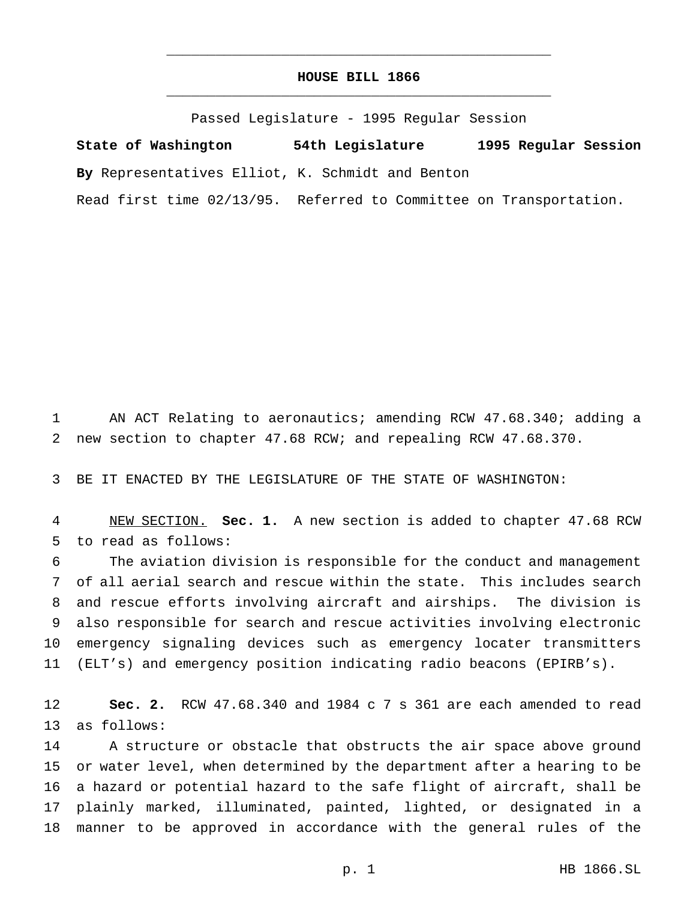# **HOUSE BILL 1866** \_\_\_\_\_\_\_\_\_\_\_\_\_\_\_\_\_\_\_\_\_\_\_\_\_\_\_\_\_\_\_\_\_\_\_\_\_\_\_\_\_\_\_\_\_\_\_

\_\_\_\_\_\_\_\_\_\_\_\_\_\_\_\_\_\_\_\_\_\_\_\_\_\_\_\_\_\_\_\_\_\_\_\_\_\_\_\_\_\_\_\_\_\_\_

Passed Legislature - 1995 Regular Session

**State of Washington 54th Legislature 1995 Regular Session By** Representatives Elliot, K. Schmidt and Benton

Read first time 02/13/95. Referred to Committee on Transportation.

 AN ACT Relating to aeronautics; amending RCW 47.68.340; adding a new section to chapter 47.68 RCW; and repealing RCW 47.68.370.

BE IT ENACTED BY THE LEGISLATURE OF THE STATE OF WASHINGTON:

 NEW SECTION. **Sec. 1.** A new section is added to chapter 47.68 RCW to read as follows:

 The aviation division is responsible for the conduct and management of all aerial search and rescue within the state. This includes search and rescue efforts involving aircraft and airships. The division is also responsible for search and rescue activities involving electronic emergency signaling devices such as emergency locater transmitters (ELT's) and emergency position indicating radio beacons (EPIRB's).

 **Sec. 2.** RCW 47.68.340 and 1984 c 7 s 361 are each amended to read as follows:

14 A structure or obstacle that obstructs the air space above ground or water level, when determined by the department after a hearing to be a hazard or potential hazard to the safe flight of aircraft, shall be plainly marked, illuminated, painted, lighted, or designated in a manner to be approved in accordance with the general rules of the